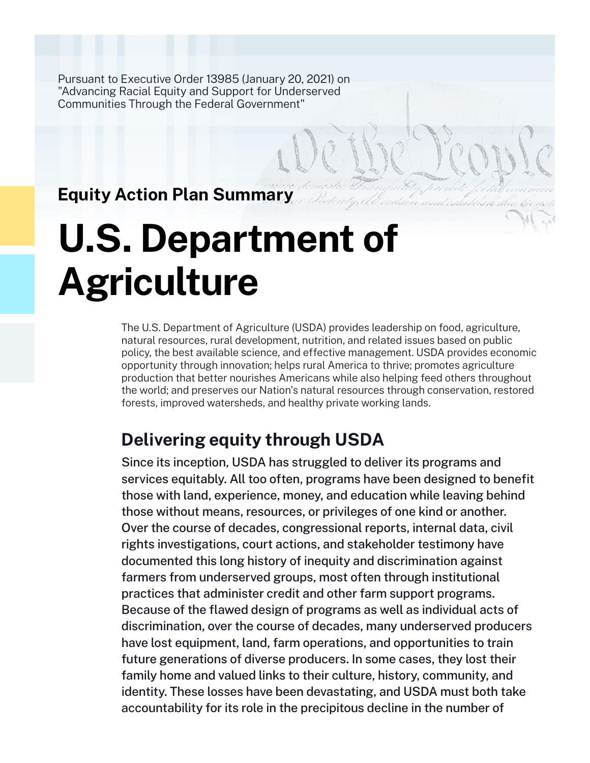Pursuant to Executive Order 13985 (January 20, 2021) on "Advancing Racial Equity and Support for Underserved Communities Through the Federal Government"

## **Equity Action Plan Summary**

# **U.S. Department of Agriculture**

The U.S. Department of Agriculture (USDA) provides leadership on food, agriculture, natural resources, rural development, nutrition, and related issues based on public policy, the best available science, and effective management. USDA provides economic opportunity through innovation; helps rural America to thrive; promotes agriculture production that better nourishes Americans while also helping feed others throughout the world; and preserves our Nation's natural resources through conservation, restored forests, improved watersheds, and healthy private working lands.

# **Delivering equity through USDA**

Since its inception, USDA has struggled to deliver its programs and services equitably. All too often, programs have been designed to benefit those with land, experience, money, and education while leaving behind those without means, resources, or privileges of one kind or another. Over the course of decades, congressional reports, internal data, civil rights investigations, court actions, and stakeholder testimony have documented this long history of inequity and discrimination against farmers from underserved groups, most often through institutional practices that administer credit and other farm support programs. Because of the flawed design of programs as well as individual acts of discrimination, over the course of decades, many underserved producers have lost equipment, land, farm operations, and opportunities to train future generations of diverse producers. In some cases, they lost their family home and valued links to their culture, history, community, and identity. These losses have been devastating, and USDA must both take accountability for its role in the precipitous decline in the number of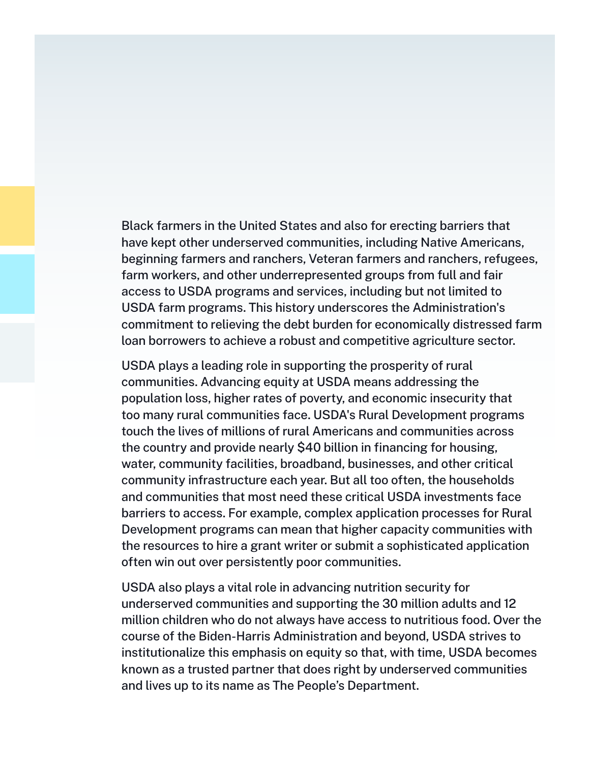Black farmers in the United States and also for erecting barriers that have kept other underserved communities, including Native Americans, beginning farmers and ranchers, Veteran farmers and ranchers, refugees, farm workers, and other underrepresented groups from full and fair access to USDA programs and services, including but not limited to USDA farm programs. This history underscores the Administration's commitment to relieving the debt burden for economically distressed farm loan borrowers to achieve a robust and competitive agriculture sector.

USDA plays a leading role in supporting the prosperity of rural communities. Advancing equity at USDA means addressing the population loss, higher rates of poverty, and economic insecurity that too many rural communities face. USDA's Rural Development programs touch the lives of millions of rural Americans and communities across the country and provide nearly \$40 billion in financing for housing, water, community facilities, broadband, businesses, and other critical community infrastructure each year. But all too often, the households and communities that most need these critical USDA investments face barriers to access. For example, complex application processes for Rural Development programs can mean that higher capacity communities with the resources to hire a grant writer or submit a sophisticated application often win out over persistently poor communities.

USDA also plays a vital role in advancing nutrition security for underserved communities and supporting the 30 million adults and 12 million children who do not always have access to nutritious food. Over the course of the Biden-Harris Administration and beyond, USDA strives to institutionalize this emphasis on equity so that, with time, USDA becomes known as a trusted partner that does right by underserved communities and lives up to its name as The People's Department.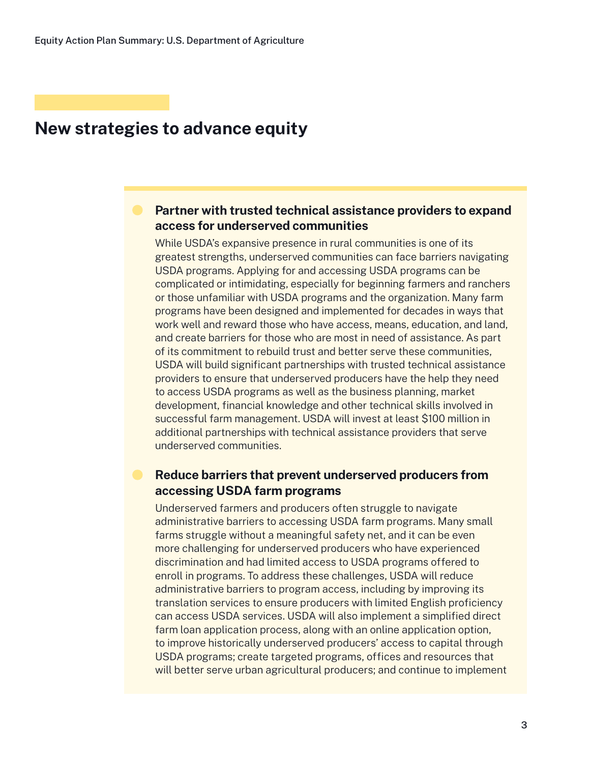#### **Partner with trusted technical assistance providers to expand access for underserved communities**

While USDA's expansive presence in rural communities is one of its greatest strengths, underserved communities can face barriers navigating USDA programs. Applying for and accessing USDA programs can be complicated or intimidating, especially for beginning farmers and ranchers or those unfamiliar with USDA programs and the organization. Many farm programs have been designed and implemented for decades in ways that work well and reward those who have access, means, education, and land, and create barriers for those who are most in need of assistance. As part of its commitment to rebuild trust and better serve these communities, USDA will build significant partnerships with trusted technical assistance providers to ensure that underserved producers have the help they need to access USDA programs as well as the business planning, market development, financial knowledge and other technical skills involved in successful farm management. USDA will invest at least \$100 million in additional partnerships with technical assistance providers that serve underserved communities.

#### **Reduce barriers that prevent underserved producers from accessing USDA farm programs**

Underserved farmers and producers often struggle to navigate administrative barriers to accessing USDA farm programs. Many small farms struggle without a meaningful safety net, and it can be even more challenging for underserved producers who have experienced discrimination and had limited access to USDA programs offered to enroll in programs. To address these challenges, USDA will reduce administrative barriers to program access, including by improving its translation services to ensure producers with limited English proficiency can access USDA services. USDA will also implement a simplified direct farm loan application process, along with an online application option, to improve historically underserved producers' access to capital through USDA programs; create targeted programs, offices and resources that will better serve urban agricultural producers; and continue to implement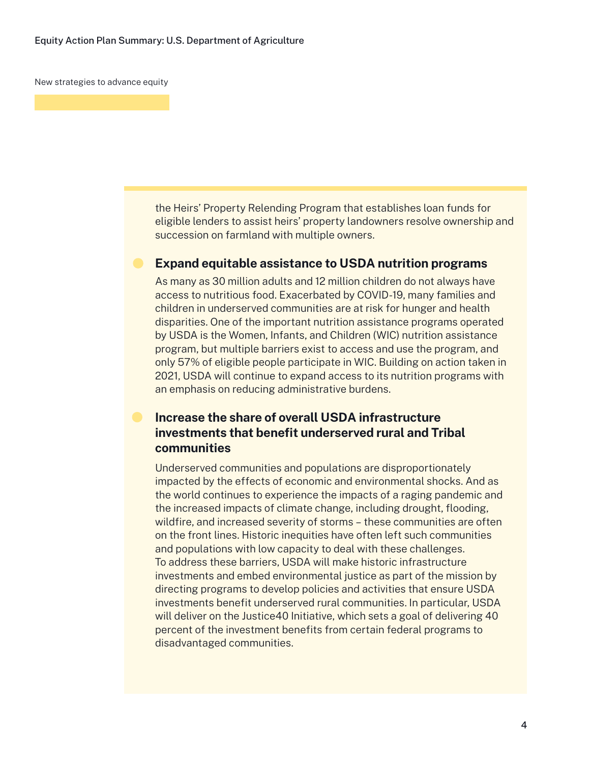the Heirs' Property Relending Program that establishes loan funds for eligible lenders to assist heirs' property landowners resolve ownership and succession on farmland with multiple owners.

#### **Expand equitable assistance to USDA nutrition programs**

As many as 30 million adults and 12 million children do not always have access to nutritious food. Exacerbated by COVID-19, many families and children in underserved communities are at risk for hunger and health disparities. One of the important nutrition assistance programs operated by USDA is the Women, Infants, and Children (WIC) nutrition assistance program, but multiple barriers exist to access and use the program, and only 57% of eligible people participate in WIC. Building on action taken in 2021, USDA will continue to expand access to its nutrition programs with an emphasis on reducing administrative burdens.

#### **Increase the share of overall USDA infrastructure investments that benefit underserved rural and Tribal communities**

Underserved communities and populations are disproportionately impacted by the effects of economic and environmental shocks. And as the world continues to experience the impacts of a raging pandemic and the increased impacts of climate change, including drought, flooding, wildfire, and increased severity of storms – these communities are often on the front lines. Historic inequities have often left such communities and populations with low capacity to deal with these challenges. To address these barriers, USDA will make historic infrastructure investments and embed environmental justice as part of the mission by directing programs to develop policies and activities that ensure USDA investments benefit underserved rural communities. In particular, USDA will deliver on the Justice40 Initiative, which sets a goal of delivering 40 percent of the investment benefits from certain federal programs to disadvantaged communities.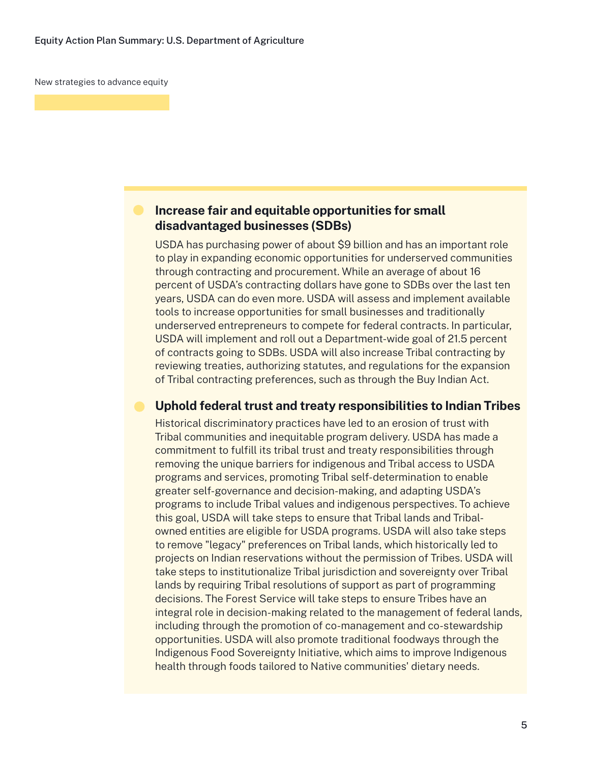#### **Increase fair and equitable opportunities for small disadvantaged businesses (SDBs)**

USDA has purchasing power of about \$9 billion and has an important role to play in expanding economic opportunities for underserved communities through contracting and procurement. While an average of about 16 percent of USDA's contracting dollars have gone to SDBs over the last ten years, USDA can do even more. USDA will assess and implement available tools to increase opportunities for small businesses and traditionally underserved entrepreneurs to compete for federal contracts. In particular, USDA will implement and roll out a Department-wide goal of 21.5 percent of contracts going to SDBs. USDA will also increase Tribal contracting by reviewing treaties, authorizing statutes, and regulations for the expansion of Tribal contracting preferences, such as through the Buy Indian Act.

#### **Uphold federal trust and treaty responsibilities to Indian Tribes**

Historical discriminatory practices have led to an erosion of trust with Tribal communities and inequitable program delivery. USDA has made a commitment to fulfill its tribal trust and treaty responsibilities through removing the unique barriers for indigenous and Tribal access to USDA programs and services, promoting Tribal self-determination to enable greater self-governance and decision-making, and adapting USDA's programs to include Tribal values and indigenous perspectives. To achieve this goal, USDA will take steps to ensure that Tribal lands and Tribalowned entities are eligible for USDA programs. USDA will also take steps to remove "legacy" preferences on Tribal lands, which historically led to projects on Indian reservations without the permission of Tribes. USDA will take steps to institutionalize Tribal jurisdiction and sovereignty over Tribal lands by requiring Tribal resolutions of support as part of programming decisions. The Forest Service will take steps to ensure Tribes have an integral role in decision-making related to the management of federal lands, including through the promotion of co-management and co-stewardship opportunities. USDA will also promote traditional foodways through the Indigenous Food Sovereignty Initiative, which aims to improve Indigenous health through foods tailored to Native communities' dietary needs.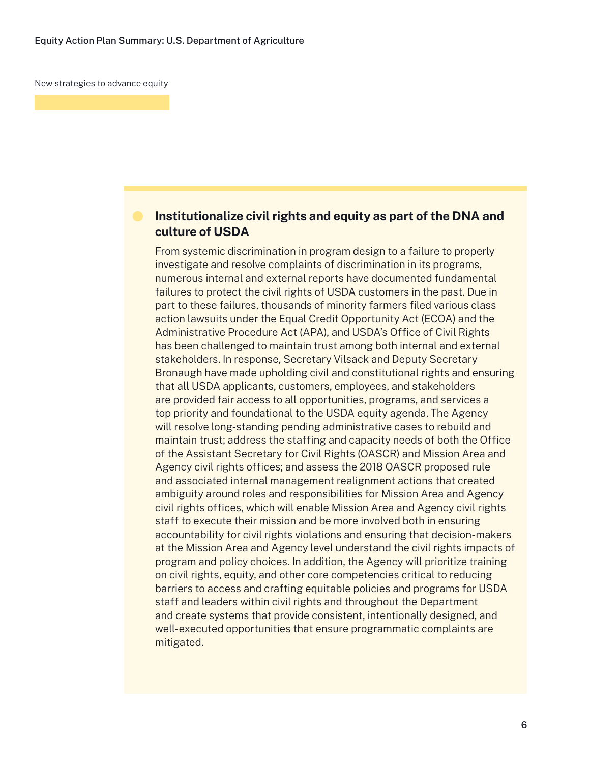#### **Institutionalize civil rights and equity as part of the DNA and culture of USDA**

From systemic discrimination in program design to a failure to properly investigate and resolve complaints of discrimination in its programs, numerous internal and external reports have documented fundamental failures to protect the civil rights of USDA customers in the past. Due in part to these failures, thousands of minority farmers filed various class action lawsuits under the Equal Credit Opportunity Act (ECOA) and the Administrative Procedure Act (APA), and USDA's Office of Civil Rights has been challenged to maintain trust among both internal and external stakeholders. In response, Secretary Vilsack and Deputy Secretary Bronaugh have made upholding civil and constitutional rights and ensuring that all USDA applicants, customers, employees, and stakeholders are provided fair access to all opportunities, programs, and services a top priority and foundational to the USDA equity agenda. The Agency will resolve long-standing pending administrative cases to rebuild and maintain trust; address the staffing and capacity needs of both the Office of the Assistant Secretary for Civil Rights (OASCR) and Mission Area and Agency civil rights offices; and assess the 2018 OASCR proposed rule and associated internal management realignment actions that created ambiguity around roles and responsibilities for Mission Area and Agency civil rights offices, which will enable Mission Area and Agency civil rights staff to execute their mission and be more involved both in ensuring accountability for civil rights violations and ensuring that decision-makers at the Mission Area and Agency level understand the civil rights impacts of program and policy choices. In addition, the Agency will prioritize training on civil rights, equity, and other core competencies critical to reducing barriers to access and crafting equitable policies and programs for USDA staff and leaders within civil rights and throughout the Department and create systems that provide consistent, intentionally designed, and well-executed opportunities that ensure programmatic complaints are mitigated.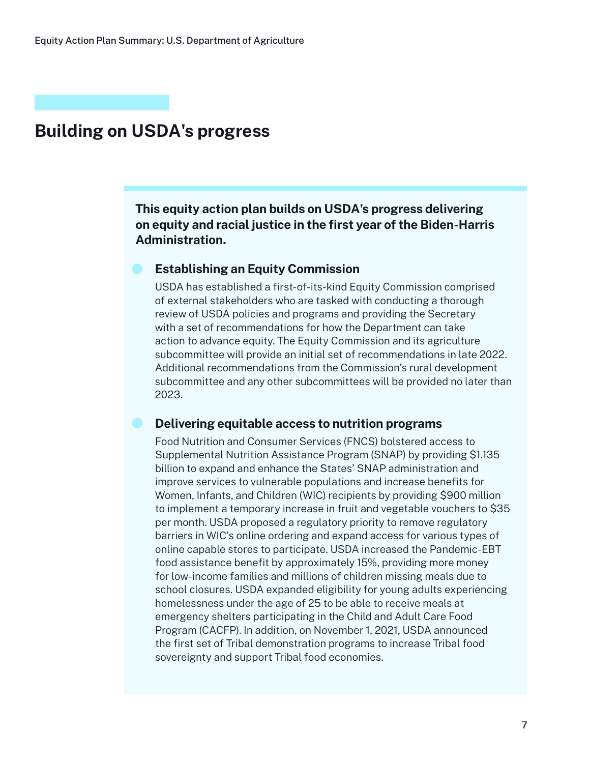## **Building on USDA's progress**

**This equity action plan builds on USDA's progress delivering on equity and racial justice in the first year of the Biden-Harris Administration.**

#### **Establishing an Equity Commission**

USDA has established a first-of-its-kind Equity Commission comprised of external stakeholders who are tasked with conducting a thorough review of USDA policies and programs and providing the Secretary with a set of recommendations for how the Department can take action to advance equity. The Equity Commission and its agriculture subcommittee will provide an initial set of recommendations in late 2022. Additional recommendations from the Commission's rural development subcommittee and any other subcommittees will be provided no later than 2023.

#### **Delivering equitable access to nutrition programs**

Food Nutrition and Consumer Services (FNCS) bolstered access to Supplemental Nutrition Assistance Program (SNAP) by providing \$1.135 billion to expand and enhance the States' SNAP administration and improve services to vulnerable populations and increase benefits for Women, Infants, and Children (WIC) recipients by providing \$900 million to implement a temporary increase in fruit and vegetable vouchers to \$35 per month. USDA proposed a regulatory priority to remove regulatory barriers in WIC's online ordering and expand access for various types of online capable stores to participate. USDA increased the Pandemic-EBT food assistance benefit by approximately 15%, providing more money for low-income families and millions of children missing meals due to school closures. USDA expanded eligibility for young adults experiencing homelessness under the age of 25 to be able to receive meals at emergency shelters participating in the Child and Adult Care Food Program (CACFP). In addition, on November 1, 2021, USDA announced the first set of Tribal demonstration programs to increase Tribal food sovereignty and support Tribal food economies.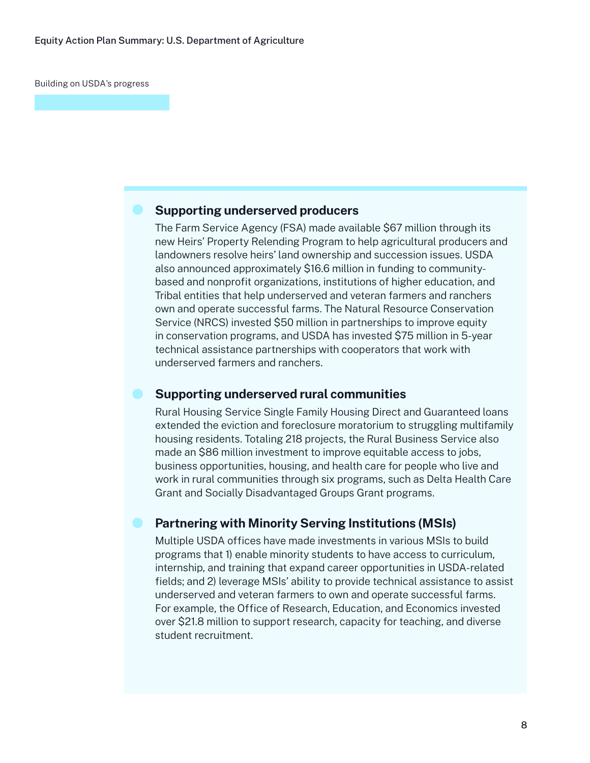Building on USDA's progress

#### **Supporting underserved producers**

The Farm Service Agency (FSA) made available \$67 million through its new Heirs' Property Relending Program to help agricultural producers and landowners resolve heirs' land ownership and succession issues. USDA also announced approximately \$16.6 million in funding to communitybased and nonprofit organizations, institutions of higher education, and Tribal entities that help underserved and veteran farmers and ranchers own and operate successful farms. The Natural Resource Conservation Service (NRCS) invested \$50 million in partnerships to improve equity in conservation programs, and USDA has invested \$75 million in 5-year technical assistance partnerships with cooperators that work with underserved farmers and ranchers.

#### **Supporting underserved rural communities**

Rural Housing Service Single Family Housing Direct and Guaranteed loans extended the eviction and foreclosure moratorium to struggling multifamily housing residents. Totaling 218 projects, the Rural Business Service also made an \$86 million investment to improve equitable access to jobs, business opportunities, housing, and health care for people who live and work in rural communities through six programs, such as Delta Health Care Grant and Socially Disadvantaged Groups Grant programs.

#### **Partnering with Minority Serving Institutions (MSIs)**

Multiple USDA offices have made investments in various MSIs to build programs that 1) enable minority students to have access to curriculum, internship, and training that expand career opportunities in USDA-related fields; and 2) leverage MSIs' ability to provide technical assistance to assist underserved and veteran farmers to own and operate successful farms. For example, the Office of Research, Education, and Economics invested over \$21.8 million to support research, capacity for teaching, and diverse student recruitment.